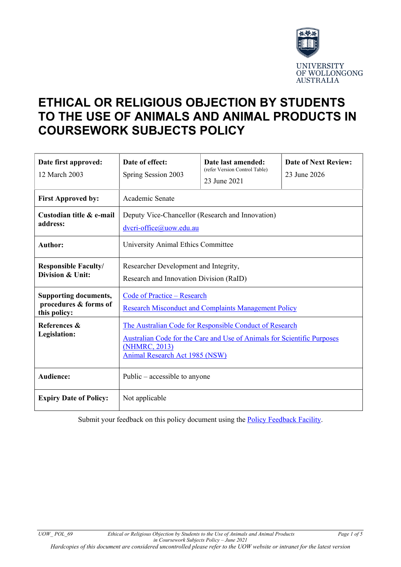

# **ETHICAL OR RELIGIOUS OBJECTION BY STUDENTS TO THE USE OF ANIMALS AND ANIMAL PRODUCTS IN COURSEWORK SUBJECTS POLICY**

| Date first approved:<br>12 March 2003                                 | Date of effect:<br>Spring Session 2003                                                                                                                                                       | Date last amended:<br>(refer Version Control Table)<br>23 June 2021 | <b>Date of Next Review:</b><br>23 June 2026 |
|-----------------------------------------------------------------------|----------------------------------------------------------------------------------------------------------------------------------------------------------------------------------------------|---------------------------------------------------------------------|---------------------------------------------|
| <b>First Approved by:</b>                                             | Academic Senate                                                                                                                                                                              |                                                                     |                                             |
| Custodian title & e-mail<br>address:                                  | Deputy Vice-Chancellor (Research and Innovation)<br>dvcri-office@uow.edu.au                                                                                                                  |                                                                     |                                             |
| <b>Author:</b>                                                        | University Animal Ethics Committee                                                                                                                                                           |                                                                     |                                             |
| <b>Responsible Faculty/</b><br>Division & Unit:                       | Researcher Development and Integrity,<br>Research and Innovation Division (RaID)                                                                                                             |                                                                     |                                             |
| <b>Supporting documents,</b><br>procedures & forms of<br>this policy: | <b>Code of Practice - Research</b><br><b>Research Misconduct and Complaints Management Policy</b>                                                                                            |                                                                     |                                             |
| References &<br>Legislation:                                          | The Australian Code for Responsible Conduct of Research<br>Australian Code for the Care and Use of Animals for Scientific Purposes<br>(NHMRC, 2013)<br><b>Animal Research Act 1985 (NSW)</b> |                                                                     |                                             |
| Audience:                                                             | Public $-$ accessible to anyone                                                                                                                                                              |                                                                     |                                             |
| <b>Expiry Date of Policy:</b>                                         | Not applicable                                                                                                                                                                               |                                                                     |                                             |

Submit your feedback on this policy document using the [Policy Feedback Facility.](http://www.uow.edu.au/about/policy/feedback/index.html)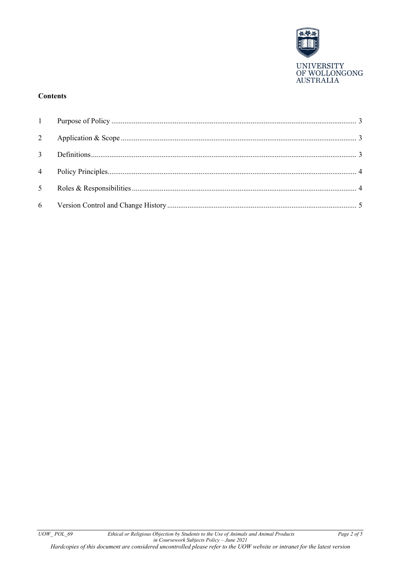

# **Contents**

| $\overline{3}$ |  |
|----------------|--|
| $\overline{4}$ |  |
| 5 <sup>5</sup> |  |
|                |  |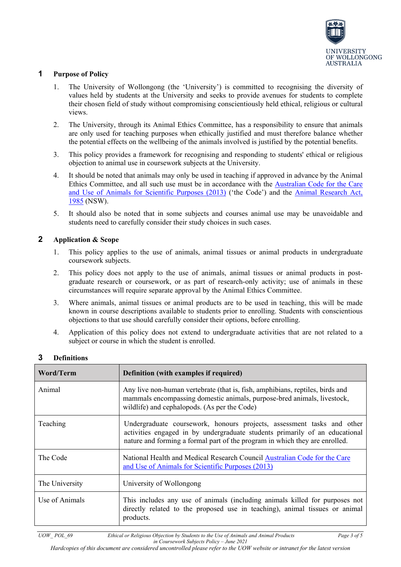

# <span id="page-2-0"></span>**1 Purpose of Policy**

- 1. The University of Wollongong (the 'University') is committed to recognising the diversity of values held by students at the University and seeks to provide avenues for students to complete their chosen field of study without compromising conscientiously held ethical, religious or cultural views.
- 2. The University, through its Animal Ethics Committee, has a responsibility to ensure that animals are only used for teaching purposes when ethically justified and must therefore balance whether the potential effects on the wellbeing of the animals involved is justified by the potential benefits.
- 3. This policy provides a framework for recognising and responding to students' ethical or religious objection to animal use in coursework subjects at the University.
- 4. It should be noted that animals may only be used in teaching if approved in advance by the Animal Ethics Committee, and all such use must be in accordance with the [Australian Code for the Care](https://www.nhmrc.gov.au/about-us/publications/australian-code-care-and-use-animals-scientific-purposes#block-views-block-file-attachments-content-block-1)  [and Use of Animals for Scientific Purposes \(2013\)](https://www.nhmrc.gov.au/about-us/publications/australian-code-care-and-use-animals-scientific-purposes#block-views-block-file-attachments-content-block-1) ('the Code') and the [Animal Research Act,](https://www.dpi.nsw.gov.au/about-us/legislation/list/animal-research)  [1985](https://www.dpi.nsw.gov.au/about-us/legislation/list/animal-research) (NSW).
- 5. It should also be noted that in some subjects and courses animal use may be unavoidable and students need to carefully consider their study choices in such cases.

## <span id="page-2-1"></span>**2 Application & Scope**

- 1. This policy applies to the use of animals, animal tissues or animal products in undergraduate coursework subjects.
- 2. This policy does not apply to the use of animals, animal tissues or animal products in postgraduate research or coursework, or as part of research-only activity; use of animals in these circumstances will require separate approval by the Animal Ethics Committee.
- 3. Where animals, animal tissues or animal products are to be used in teaching, this will be made known in course descriptions available to students prior to enrolling. Students with conscientious objections to that use should carefully consider their options, before enrolling.
- 4. Application of this policy does not extend to undergraduate activities that are not related to a subject or course in which the student is enrolled.

| Word/Term      | Definition (with examples if required)                                                                                                                                                                                               |  |
|----------------|--------------------------------------------------------------------------------------------------------------------------------------------------------------------------------------------------------------------------------------|--|
| Animal         | Any live non-human vertebrate (that is, fish, amphibians, reptiles, birds and<br>mammals encompassing domestic animals, purpose-bred animals, livestock,<br>wildlife) and cephalopods. (As per the Code)                             |  |
| Teaching       | Undergraduate coursework, honours projects, assessment tasks and other<br>activities engaged in by undergraduate students primarily of an educational<br>nature and forming a formal part of the program in which they are enrolled. |  |
| The Code       | National Health and Medical Research Council Australian Code for the Care<br>and Use of Animals for Scientific Purposes (2013)                                                                                                       |  |
| The University | University of Wollongong                                                                                                                                                                                                             |  |
| Use of Animals | This includes any use of animals (including animals killed for purposes not<br>directly related to the proposed use in teaching), animal tissues or animal<br>products.                                                              |  |

## <span id="page-2-2"></span>**3 Definitions**

*Hardcopies of this document are considered uncontrolled please refer to the UOW website or intranet for the latest version*

*UOW\_ POL\_69 Ethical or Religious Objection by Students to the Use of Animals and Animal Products Page 3 of 5 in Coursework Subjects Policy – June 2021*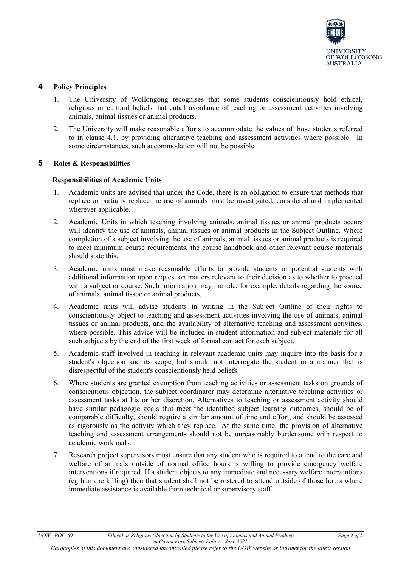

# <span id="page-3-0"></span>**4 Policy Principles**

- 1. The University of Wollongong recognises that some students conscientiously hold ethical, religious or cultural beliefs that entail avoidance of teaching or assessment activities involving animals, animal tissues or animal products.
- 2. The University will make reasonable efforts to accommodate the values of those students referred to in clause 4.1. by providing alternative teaching and assessment activities where possible. In some circumstances, such accommodation will not be possible.

#### <span id="page-3-1"></span>**5 Roles & Responsibilities**

#### **Responsibilities of Academic Units**

- 1. Academic units are advised that under the Code, there is an obligation to ensure that methods that replace or partially replace the use of animals must be investigated, considered and implemented wherever applicable.
- 2. Academic Units in which teaching involving animals, animal tissues or animal products occurs will identify the use of animals, animal tissues or animal products in the Subject Outline. Where completion of a subject involving the use of animals, animal tissues or animal products is required to meet minimum course requirements, the course handbook and other relevant course materials should state this.
- 3. Academic units must make reasonable efforts to provide students or potential students with additional information upon request on matters relevant to their decision as to whether to proceed with a subject or course. Such information may include, for example, details regarding the source of animals, animal tissue or animal products.
- 4. Academic units will advise students in writing in the Subject Outline of their rights to conscientiously object to teaching and assessment activities involving the use of animals, animal tissues or animal products, and the availability of alternative teaching and assessment activities, where possible. This advice will be included in student information and subject materials for all such subjects by the end of the first week of formal contact for each subject.
- 5. Academic staff involved in teaching in relevant academic units may inquire into the basis for a student's objection and its scope, but should not interrogate the student in a manner that is disrespectful of the student's conscientiously held beliefs.
- 6. Where students are granted exemption from teaching activities or assessment tasks on grounds of conscientious objection, the subject coordinator may determine alternative teaching activities or assessment tasks at his or her discretion. Alternatives to teaching or assessment activity should have similar pedagogic goals that meet the identified subject learning outcomes, should be of comparable difficulty, should require a similar amount of time and effort, and should be assessed as rigorously as the activity which they replace. At the same time, the provision of alternative teaching and assessment arrangements should not be unreasonably burdensome with respect to academic workloads.
- 7. Research project supervisors must ensure that any student who is required to attend to the care and welfare of animals outside of normal office hours is willing to provide emergency welfare interventions if required. If a student objects to any immediate and necessary welfare interventions (eg humane killing) then that student shall not be rostered to attend outside of those hours where immediate assistance is available from technical or supervisory staff.